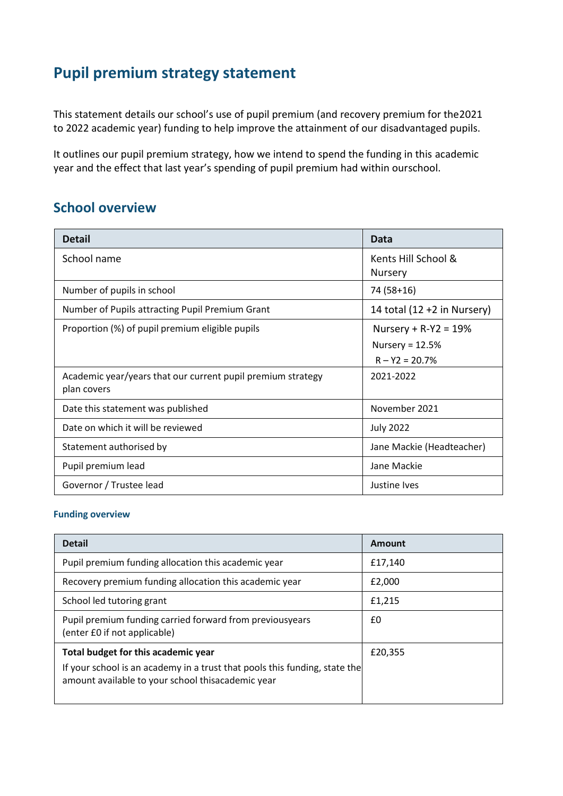# **Pupil premium strategy statement**

This statement details our school's use of pupil premium (and recovery premium for the2021 to 2022 academic year) funding to help improve the attainment of our disadvantaged pupils.

It outlines our pupil premium strategy, how we intend to spend the funding in this academic year and the effect that last year's spending of pupil premium had within ourschool.

#### **School overview**

| <b>Detail</b>                                                              | Data                                                              |
|----------------------------------------------------------------------------|-------------------------------------------------------------------|
| School name                                                                | Kents Hill School &<br><b>Nursery</b>                             |
| Number of pupils in school                                                 | 74 (58+16)                                                        |
| Number of Pupils attracting Pupil Premium Grant                            | 14 total $(12 + 2$ in Nursery)                                    |
| Proportion (%) of pupil premium eligible pupils                            | Nursery + $R - Y2 = 19%$<br>Nursery = $12.5%$<br>$R - Y2 = 20.7%$ |
| Academic year/years that our current pupil premium strategy<br>plan covers | 2021-2022                                                         |
| Date this statement was published                                          | November 2021                                                     |
| Date on which it will be reviewed                                          | <b>July 2022</b>                                                  |
| Statement authorised by                                                    | Jane Mackie (Headteacher)                                         |
| Pupil premium lead                                                         | Jane Mackie                                                       |
| Governor / Trustee lead                                                    | Justine Ives                                                      |

#### **Funding overview**

| <b>Detail</b>                                                                                                                   | Amount  |
|---------------------------------------------------------------------------------------------------------------------------------|---------|
| Pupil premium funding allocation this academic year                                                                             | £17,140 |
| Recovery premium funding allocation this academic year                                                                          | £2,000  |
| School led tutoring grant                                                                                                       | £1,215  |
| Pupil premium funding carried forward from previousyears<br>(enter £0 if not applicable)                                        | £0      |
| Total budget for this academic year                                                                                             | £20,355 |
| If your school is an academy in a trust that pools this funding, state the<br>amount available to your school thisacademic year |         |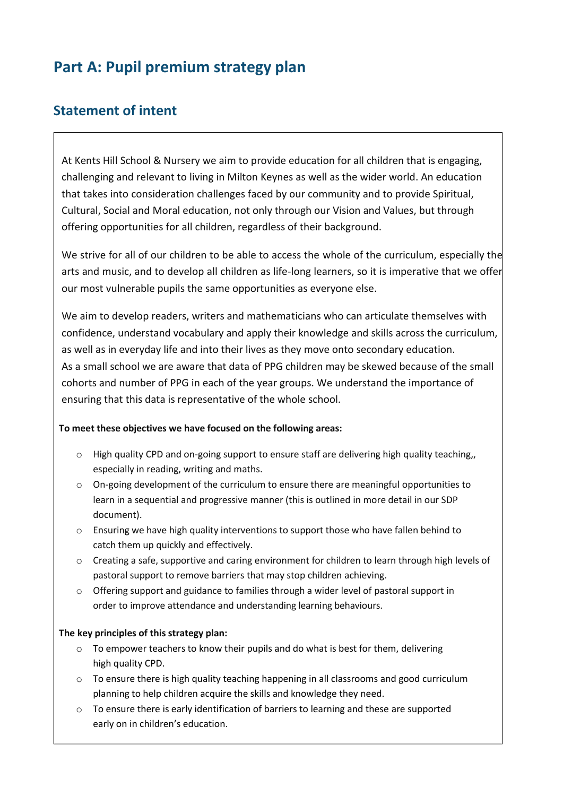# **Part A: Pupil premium strategy plan**

#### **Statement of intent**

At Kents Hill School & Nursery we aim to provide education for all children that is engaging, challenging and relevant to living in Milton Keynes as well as the wider world. An education that takes into consideration challenges faced by our community and to provide Spiritual, Cultural, Social and Moral education, not only through our Vision and Values, but through offering opportunities for all children, regardless of their background.

We strive for all of our children to be able to access the whole of the curriculum, especially the arts and music, and to develop all children as life-long learners, so it is imperative that we offer our most vulnerable pupils the same opportunities as everyone else.

We aim to develop readers, writers and mathematicians who can articulate themselves with confidence, understand vocabulary and apply their knowledge and skills across the curriculum, as well as in everyday life and into their lives as they move onto secondary education. As a small school we are aware that data of PPG children may be skewed because of the small cohorts and number of PPG in each of the year groups. We understand the importance of ensuring that this data is representative of the whole school.

#### **To meet these objectives we have focused on the following areas:**

- $\circ$  High quality CPD and on-going support to ensure staff are delivering high quality teaching, especially in reading, writing and maths.
- $\circ$  On-going development of the curriculum to ensure there are meaningful opportunities to learn in a sequential and progressive manner (this is outlined in more detail in our SDP document).
- $\circ$  Ensuring we have high quality interventions to support those who have fallen behind to catch them up quickly and effectively.
- o Creating a safe, supportive and caring environment for children to learn through high levels of pastoral support to remove barriers that may stop children achieving.
- $\circ$  Offering support and guidance to families through a wider level of pastoral support in order to improve attendance and understanding learning behaviours.

#### **The key principles of this strategy plan:**

- $\circ$  To empower teachers to know their pupils and do what is best for them, delivering high quality CPD.
- $\circ$  To ensure there is high quality teaching happening in all classrooms and good curriculum planning to help children acquire the skills and knowledge they need.
- $\circ$  To ensure there is early identification of barriers to learning and these are supported early on in children's education.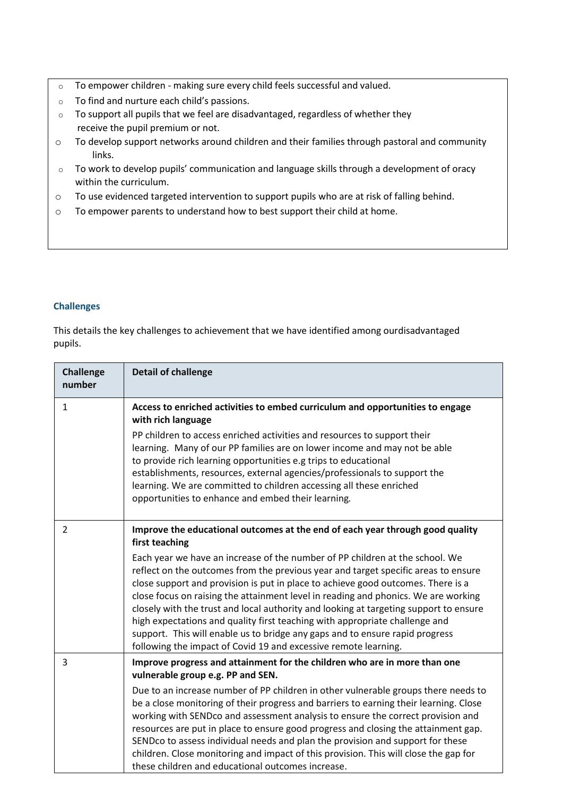- o To empower children making sure every child feels successful and valued.
- o To find and nurture each child's passions.
- $\circ$  To support all pupils that we feel are disadvantaged, regardless of whether they receive the pupil premium or not.
- o To develop support networks around children and their families through pastoral and community links.
- o To work to develop pupils' communication and language skills through a development of oracy within the curriculum.
- o To use evidenced targeted intervention to support pupils who are at risk of falling behind.
- o To empower parents to understand how to best support their child at home.

#### **Challenges**

This details the key challenges to achievement that we have identified among ourdisadvantaged pupils.

| <b>Challenge</b><br>number | <b>Detail of challenge</b>                                                                                                                                                                                                                                                                                                                                                                                                                                                                                                                                                                                                                                                                                                                                                 |
|----------------------------|----------------------------------------------------------------------------------------------------------------------------------------------------------------------------------------------------------------------------------------------------------------------------------------------------------------------------------------------------------------------------------------------------------------------------------------------------------------------------------------------------------------------------------------------------------------------------------------------------------------------------------------------------------------------------------------------------------------------------------------------------------------------------|
| $\mathbf{1}$               | Access to enriched activities to embed curriculum and opportunities to engage<br>with rich language<br>PP children to access enriched activities and resources to support their<br>learning. Many of our PP families are on lower income and may not be able<br>to provide rich learning opportunities e.g trips to educational<br>establishments, resources, external agencies/professionals to support the<br>learning. We are committed to children accessing all these enriched<br>opportunities to enhance and embed their learning.                                                                                                                                                                                                                                  |
| $\overline{2}$             | Improve the educational outcomes at the end of each year through good quality<br>first teaching<br>Each year we have an increase of the number of PP children at the school. We<br>reflect on the outcomes from the previous year and target specific areas to ensure<br>close support and provision is put in place to achieve good outcomes. There is a<br>close focus on raising the attainment level in reading and phonics. We are working<br>closely with the trust and local authority and looking at targeting support to ensure<br>high expectations and quality first teaching with appropriate challenge and<br>support. This will enable us to bridge any gaps and to ensure rapid progress<br>following the impact of Covid 19 and excessive remote learning. |
| 3                          | Improve progress and attainment for the children who are in more than one<br>vulnerable group e.g. PP and SEN.<br>Due to an increase number of PP children in other vulnerable groups there needs to<br>be a close monitoring of their progress and barriers to earning their learning. Close<br>working with SENDco and assessment analysis to ensure the correct provision and<br>resources are put in place to ensure good progress and closing the attainment gap.<br>SENDco to assess individual needs and plan the provision and support for these<br>children. Close monitoring and impact of this provision. This will close the gap for<br>these children and educational outcomes increase.                                                                      |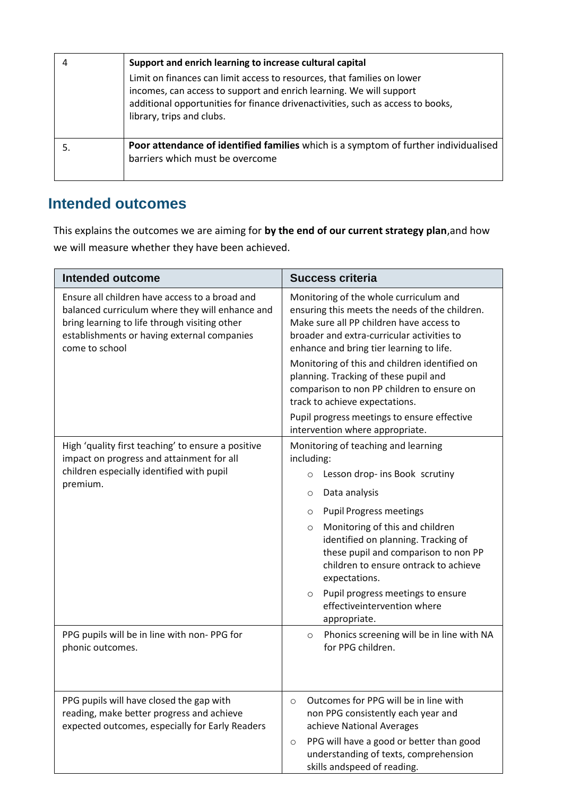|    | Support and enrich learning to increase cultural capital                                                                                                                                                                                                       |
|----|----------------------------------------------------------------------------------------------------------------------------------------------------------------------------------------------------------------------------------------------------------------|
|    | Limit on finances can limit access to resources, that families on lower<br>incomes, can access to support and enrich learning. We will support<br>additional opportunities for finance drivenactivities, such as access to books,<br>library, trips and clubs. |
| 5. | Poor attendance of identified families which is a symptom of further individualised<br>barriers which must be overcome                                                                                                                                         |

## **Intended outcomes**

This explains the outcomes we are aiming for **by the end of our current strategy plan**,and how we will measure whether they have been achieved.

| <b>Intended outcome</b>                                                                                                                                                                                             | <b>Success criteria</b>                                                                                                                                                                                                                                                                                                                                                                                                                 |
|---------------------------------------------------------------------------------------------------------------------------------------------------------------------------------------------------------------------|-----------------------------------------------------------------------------------------------------------------------------------------------------------------------------------------------------------------------------------------------------------------------------------------------------------------------------------------------------------------------------------------------------------------------------------------|
| Ensure all children have access to a broad and<br>balanced curriculum where they will enhance and<br>bring learning to life through visiting other<br>establishments or having external companies<br>come to school | Monitoring of the whole curriculum and<br>ensuring this meets the needs of the children.<br>Make sure all PP children have access to<br>broader and extra-curricular activities to<br>enhance and bring tier learning to life.                                                                                                                                                                                                          |
|                                                                                                                                                                                                                     | Monitoring of this and children identified on<br>planning. Tracking of these pupil and<br>comparison to non PP children to ensure on<br>track to achieve expectations.                                                                                                                                                                                                                                                                  |
|                                                                                                                                                                                                                     | Pupil progress meetings to ensure effective<br>intervention where appropriate.                                                                                                                                                                                                                                                                                                                                                          |
| High 'quality first teaching' to ensure a positive<br>impact on progress and attainment for all<br>children especially identified with pupil<br>premium.                                                            | Monitoring of teaching and learning<br>including:<br>Lesson drop- ins Book scrutiny<br>$\circ$<br>Data analysis<br>$\circ$<br><b>Pupil Progress meetings</b><br>O<br>Monitoring of this and children<br>$\circ$<br>identified on planning. Tracking of<br>these pupil and comparison to non PP<br>children to ensure ontrack to achieve<br>expectations.<br>Pupil progress meetings to ensure<br>$\circ$<br>effectiveintervention where |
| PPG pupils will be in line with non-PPG for<br>phonic outcomes.                                                                                                                                                     | appropriate.<br>Phonics screening will be in line with NA<br>$\circ$<br>for PPG children.                                                                                                                                                                                                                                                                                                                                               |
| PPG pupils will have closed the gap with<br>reading, make better progress and achieve<br>expected outcomes, especially for Early Readers                                                                            | Outcomes for PPG will be in line with<br>$\circ$<br>non PPG consistently each year and<br>achieve National Averages<br>PPG will have a good or better than good<br>$\circ$<br>understanding of texts, comprehension<br>skills andspeed of reading.                                                                                                                                                                                      |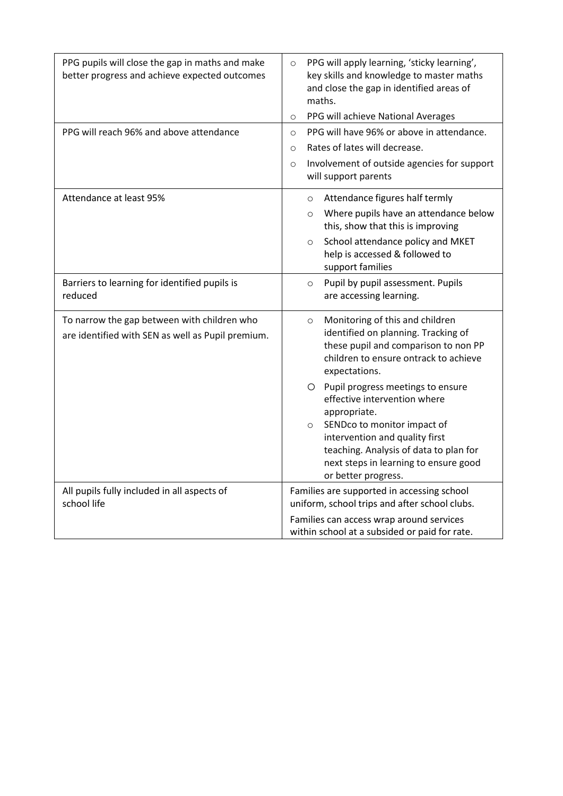| PPG pupils will close the gap in maths and make<br>better progress and achieve expected outcomes | PPG will apply learning, 'sticky learning',<br>$\circ$<br>key skills and knowledge to master maths<br>and close the gap in identified areas of<br>maths.<br>PPG will achieve National Averages<br>$\circ$                                                                                                                                                                                                                                                        |  |
|--------------------------------------------------------------------------------------------------|------------------------------------------------------------------------------------------------------------------------------------------------------------------------------------------------------------------------------------------------------------------------------------------------------------------------------------------------------------------------------------------------------------------------------------------------------------------|--|
| PPG will reach 96% and above attendance                                                          | PPG will have 96% or above in attendance.<br>$\circ$<br>Rates of lates will decrease.<br>$\circ$<br>Involvement of outside agencies for support<br>$\circ$<br>will support parents                                                                                                                                                                                                                                                                               |  |
| Attendance at least 95%                                                                          | Attendance figures half termly<br>$\circ$<br>Where pupils have an attendance below<br>$\circ$<br>this, show that this is improving<br>School attendance policy and MKET<br>$\circ$<br>help is accessed & followed to<br>support families                                                                                                                                                                                                                         |  |
| Barriers to learning for identified pupils is<br>reduced                                         | Pupil by pupil assessment. Pupils<br>$\circ$<br>are accessing learning.                                                                                                                                                                                                                                                                                                                                                                                          |  |
| To narrow the gap between with children who<br>are identified with SEN as well as Pupil premium. | Monitoring of this and children<br>$\circ$<br>identified on planning. Tracking of<br>these pupil and comparison to non PP<br>children to ensure ontrack to achieve<br>expectations.<br>O Pupil progress meetings to ensure<br>effective intervention where<br>appropriate.<br>SENDco to monitor impact of<br>$\circ$<br>intervention and quality first<br>teaching. Analysis of data to plan for<br>next steps in learning to ensure good<br>or better progress. |  |
| All pupils fully included in all aspects of<br>school life                                       | Families are supported in accessing school<br>uniform, school trips and after school clubs.<br>Families can access wrap around services<br>within school at a subsided or paid for rate.                                                                                                                                                                                                                                                                         |  |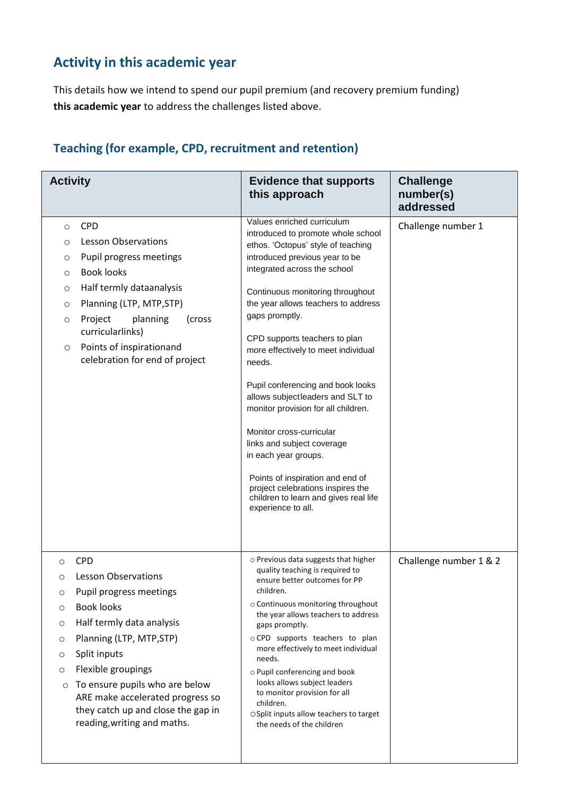#### **Activity in this academic year**

This details how we intend to spend our pupil premium (and recovery premium funding) **this academic year** to address the challenges listed above.

#### **Activity Evidence that supports this approach Challenge number(s) addressed** o CPD o Lesson Observations o Pupil progress meetings o Book looks o Half termly dataanalysis o Planning (LTP, MTP,STP) o Project planning (cross curricularlinks) o Points of inspirationand celebration for end of project Values enriched curriculum introduced to promote whole school ethos. 'Octopus' style of teaching introduced previous year to be integrated across the school Continuous monitoring throughout the year allows teachers to address gaps promptly. CPD supports teachers to plan more effectively to meet individual needs. Pupil conferencing and book looks allows subject leaders and SLT to monitor provision for all children. Monitor cross-curricular links and subject coverage in each year groups. Points of inspiration and end of project celebrations inspires the children to learn and gives real life experience to all. Challenge number 1 o CPD o Lesson Observations o Pupil progress meetings o Book looks o Half termly data analysis o Planning (LTP, MTP,STP) o Split inputs o Flexible groupings o To ensure pupils who are below ARE make accelerated progress so they catch up and close the gap in reading,writing and maths. o Previous data suggests that higher quality teaching is required to ensure better outcomes for PP children. o Continuous monitoring throughout the year allows teachers to address gaps promptly. o CPD supports teachers to plan more effectively to meet individual needs. o Pupil conferencing and book looks allows subject leaders to monitor provision for all children. oSplit inputs allow teachers to target the needs of the children Challenge number 1 & 2

#### **Teaching (for example, CPD, recruitment and retention)**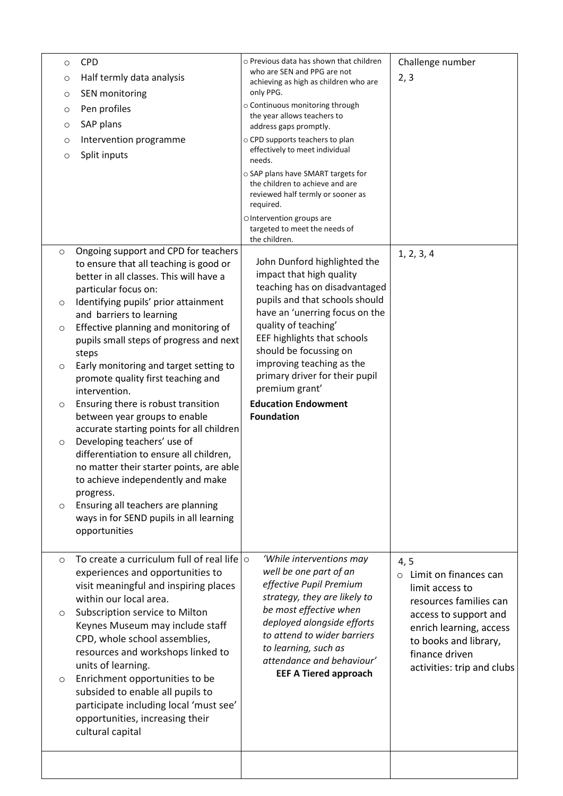| $\circ$<br>$\circ$<br>$\circ$ | <b>CPD</b><br>Half termly data analysis<br>SEN monitoring                                                                                                                                 | o Previous data has shown that children<br>who are SEN and PPG are not<br>achieving as high as children who are<br>only PPG. | Challenge number<br>2, 3                                                                                              |
|-------------------------------|-------------------------------------------------------------------------------------------------------------------------------------------------------------------------------------------|------------------------------------------------------------------------------------------------------------------------------|-----------------------------------------------------------------------------------------------------------------------|
| $\circ$<br>$\circ$            | Pen profiles<br>SAP plans                                                                                                                                                                 | o Continuous monitoring through<br>the year allows teachers to<br>address gaps promptly.                                     |                                                                                                                       |
| O<br>$\circ$                  | Intervention programme<br>Split inputs                                                                                                                                                    | o CPD supports teachers to plan<br>effectively to meet individual<br>needs.                                                  |                                                                                                                       |
|                               |                                                                                                                                                                                           | o SAP plans have SMART targets for<br>the children to achieve and are<br>reviewed half termly or sooner as<br>required.      |                                                                                                                       |
|                               |                                                                                                                                                                                           | OIntervention groups are<br>targeted to meet the needs of<br>the children.                                                   |                                                                                                                       |
| $\circ$                       | Ongoing support and CPD for teachers<br>to ensure that all teaching is good or<br>better in all classes. This will have a<br>particular focus on:                                         | John Dunford highlighted the<br>impact that high quality<br>teaching has on disadvantaged                                    | 1, 2, 3, 4                                                                                                            |
| $\circ$                       | Identifying pupils' prior attainment<br>and barriers to learning                                                                                                                          | pupils and that schools should<br>have an 'unerring focus on the                                                             |                                                                                                                       |
| $\circ$                       | Effective planning and monitoring of<br>pupils small steps of progress and next<br>steps                                                                                                  | quality of teaching'<br>EEF highlights that schools<br>should be focussing on                                                |                                                                                                                       |
| $\circ$                       | Early monitoring and target setting to<br>promote quality first teaching and<br>intervention.                                                                                             | improving teaching as the<br>primary driver for their pupil<br>premium grant'                                                |                                                                                                                       |
| $\circ$                       | Ensuring there is robust transition<br>between year groups to enable<br>accurate starting points for all children                                                                         | <b>Education Endowment</b><br><b>Foundation</b>                                                                              |                                                                                                                       |
| $\circ$                       | Developing teachers' use of<br>differentiation to ensure all children,<br>no matter their starter points, are able<br>to achieve independently and make<br>progress.                      |                                                                                                                              |                                                                                                                       |
| O                             | Ensuring all teachers are planning<br>ways in for SEND pupils in all learning<br>opportunities                                                                                            |                                                                                                                              |                                                                                                                       |
| $\circ$                       | To create a curriculum full of real life $\circ$<br>experiences and opportunities to<br>visit meaningful and inspiring places<br>within our local area.                                   | 'While interventions may<br>well be one part of an<br>effective Pupil Premium<br>strategy, they are likely to                | 4, 5<br>Limit on finances can<br>$\circ$<br>limit access to                                                           |
| O                             | Subscription service to Milton<br>Keynes Museum may include staff<br>CPD, whole school assemblies,<br>resources and workshops linked to                                                   | be most effective when<br>deployed alongside efforts<br>to attend to wider barriers<br>to learning, such as                  | resources families can<br>access to support and<br>enrich learning, access<br>to books and library,<br>finance driven |
| $\circ$                       | units of learning.<br>Enrichment opportunities to be<br>subsided to enable all pupils to<br>participate including local 'must see'<br>opportunities, increasing their<br>cultural capital | attendance and behaviour'<br><b>EEF A Tiered approach</b>                                                                    | activities: trip and clubs                                                                                            |
|                               |                                                                                                                                                                                           |                                                                                                                              |                                                                                                                       |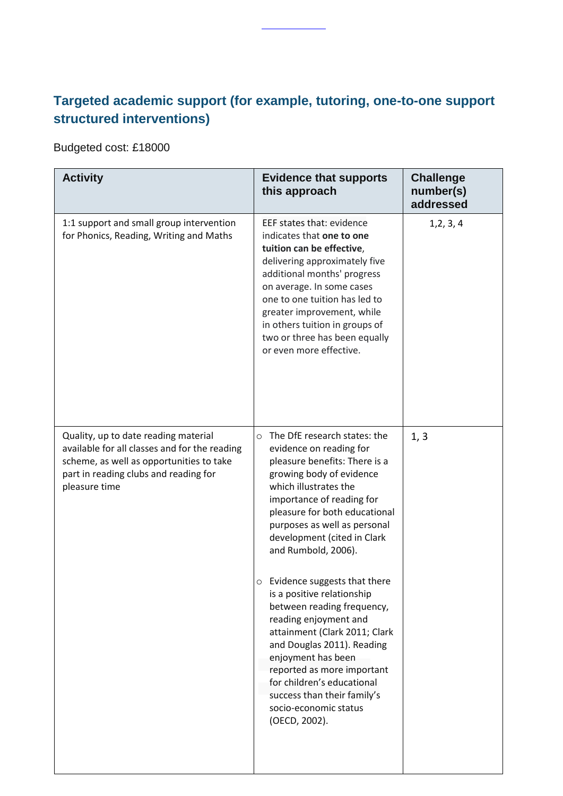## **Targeted academic support (for example, tutoring, one-to-one support structured interventions)**

Budgeted cost: £18000

| <b>Activity</b>                                                                                                                                                                             | <b>Evidence that supports</b><br>this approach                                                                                                                                                                                                                                                                                                   | <b>Challenge</b><br>number(s)<br>addressed |
|---------------------------------------------------------------------------------------------------------------------------------------------------------------------------------------------|--------------------------------------------------------------------------------------------------------------------------------------------------------------------------------------------------------------------------------------------------------------------------------------------------------------------------------------------------|--------------------------------------------|
| 1:1 support and small group intervention<br>for Phonics, Reading, Writing and Maths                                                                                                         | EEF states that: evidence<br>indicates that one to one<br>tuition can be effective,<br>delivering approximately five<br>additional months' progress<br>on average. In some cases<br>one to one tuition has led to<br>greater improvement, while<br>in others tuition in groups of<br>two or three has been equally<br>or even more effective.    | 1, 2, 3, 4                                 |
| Quality, up to date reading material<br>available for all classes and for the reading<br>scheme, as well as opportunities to take<br>part in reading clubs and reading for<br>pleasure time | The DfE research states: the<br>$\circ$<br>evidence on reading for<br>pleasure benefits: There is a<br>growing body of evidence<br>which illustrates the<br>importance of reading for<br>pleasure for both educational<br>purposes as well as personal<br>development (cited in Clark<br>and Rumbold, 2006).                                     | 1, 3                                       |
|                                                                                                                                                                                             | Evidence suggests that there<br>O<br>is a positive relationship<br>between reading frequency,<br>reading enjoyment and<br>attainment (Clark 2011; Clark<br>and Douglas 2011). Reading<br>enjoyment has been<br>reported as more important<br>for children's educational<br>success than their family's<br>socio-economic status<br>(OECD, 2002). |                                            |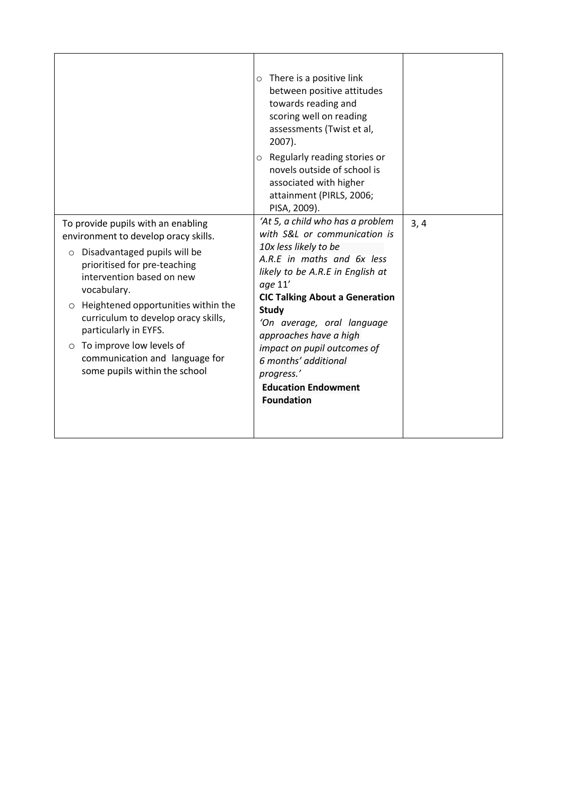|                                                                                                                                                                                                                                                                                                                                                                                                                      | $\circ$ There is a positive link<br>between positive attitudes<br>towards reading and<br>scoring well on reading<br>assessments (Twist et al,<br>2007).<br>$\circ$ Regularly reading stories or<br>novels outside of school is<br>associated with higher<br>attainment (PIRLS, 2006;<br>PISA, 2009).                                                                                                            |      |
|----------------------------------------------------------------------------------------------------------------------------------------------------------------------------------------------------------------------------------------------------------------------------------------------------------------------------------------------------------------------------------------------------------------------|-----------------------------------------------------------------------------------------------------------------------------------------------------------------------------------------------------------------------------------------------------------------------------------------------------------------------------------------------------------------------------------------------------------------|------|
| To provide pupils with an enabling<br>environment to develop oracy skills.<br>Disadvantaged pupils will be<br>$\circ$<br>prioritised for pre-teaching<br>intervention based on new<br>vocabulary.<br>O Heightened opportunities within the<br>curriculum to develop oracy skills,<br>particularly in EYFS.<br>To improve low levels of<br>$\circ$<br>communication and language for<br>some pupils within the school | 'At 5, a child who has a problem<br>with S&L or communication is<br>10x less likely to be<br>A.R.E in maths and 6x less<br>likely to be A.R.E in English at<br>age 11'<br><b>CIC Talking About a Generation</b><br><b>Study</b><br>'On average, oral language<br>approaches have a high<br>impact on pupil outcomes of<br>6 months' additional<br>progress.'<br><b>Education Endowment</b><br><b>Foundation</b> | 3, 4 |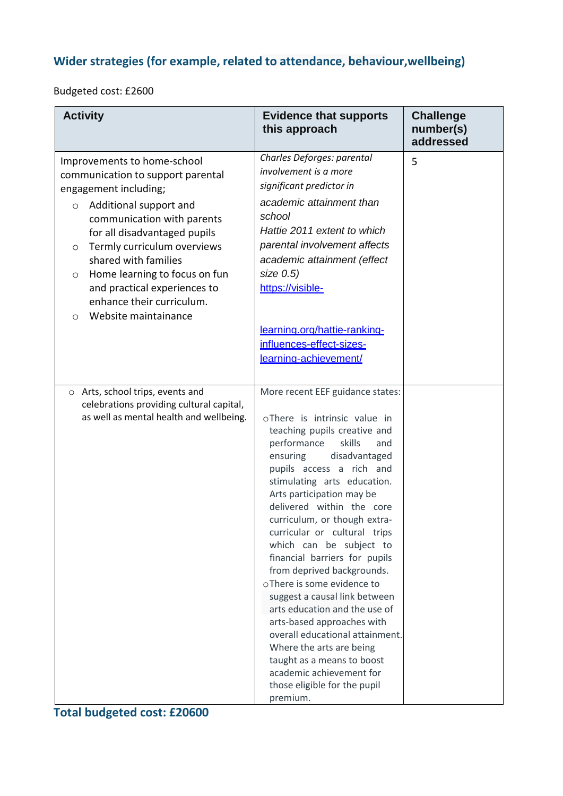## **Wider strategies (for example, related to attendance, behaviour,wellbeing)**

Budgeted cost: £2600

| <b>Activity</b>                                                                                                                                                                                                                                                                                                                                                                                            | <b>Evidence that supports</b><br>this approach                                                                                                                                                                                                                                                                                                                                                                                                                                                                                                                                                                                                                                                                                                  | <b>Challenge</b><br>number(s)<br>addressed |
|------------------------------------------------------------------------------------------------------------------------------------------------------------------------------------------------------------------------------------------------------------------------------------------------------------------------------------------------------------------------------------------------------------|-------------------------------------------------------------------------------------------------------------------------------------------------------------------------------------------------------------------------------------------------------------------------------------------------------------------------------------------------------------------------------------------------------------------------------------------------------------------------------------------------------------------------------------------------------------------------------------------------------------------------------------------------------------------------------------------------------------------------------------------------|--------------------------------------------|
| Improvements to home-school<br>communication to support parental<br>engagement including;<br>Additional support and<br>$\circ$<br>communication with parents<br>for all disadvantaged pupils<br>Termly curriculum overviews<br>$\circ$<br>shared with families<br>Home learning to focus on fun<br>$\circ$<br>and practical experiences to<br>enhance their curriculum.<br>Website maintainance<br>$\circ$ | Charles Deforges: parental<br>involvement is a more<br>significant predictor in<br>academic attainment than<br>school<br>Hattie 2011 extent to which<br>parental involvement affects<br>academic attainment (effect<br>size 0.5)<br>https://visible-<br>learning.org/hattie-ranking-<br>influences-effect-sizes-<br>learning-achievement/                                                                                                                                                                                                                                                                                                                                                                                                       | 5                                          |
| o Arts, school trips, events and<br>celebrations providing cultural capital,<br>as well as mental health and wellbeing.                                                                                                                                                                                                                                                                                    | More recent EEF guidance states:<br>oThere is intrinsic value in<br>teaching pupils creative and<br>performance<br>skills<br>and<br>ensuring<br>disadvantaged<br>pupils access a rich and<br>stimulating arts education.<br>Arts participation may be<br>delivered within the core<br>curriculum, or though extra-<br>curricular or cultural trips<br>which can be subject to<br>financial barriers for pupils<br>from deprived backgrounds.<br>oThere is some evidence to<br>suggest a causal link between<br>arts education and the use of<br>arts-based approaches with<br>overall educational attainment.<br>Where the arts are being<br>taught as a means to boost<br>academic achievement for<br>those eligible for the pupil<br>premium. |                                            |

## **Total budgeted cost: £20600**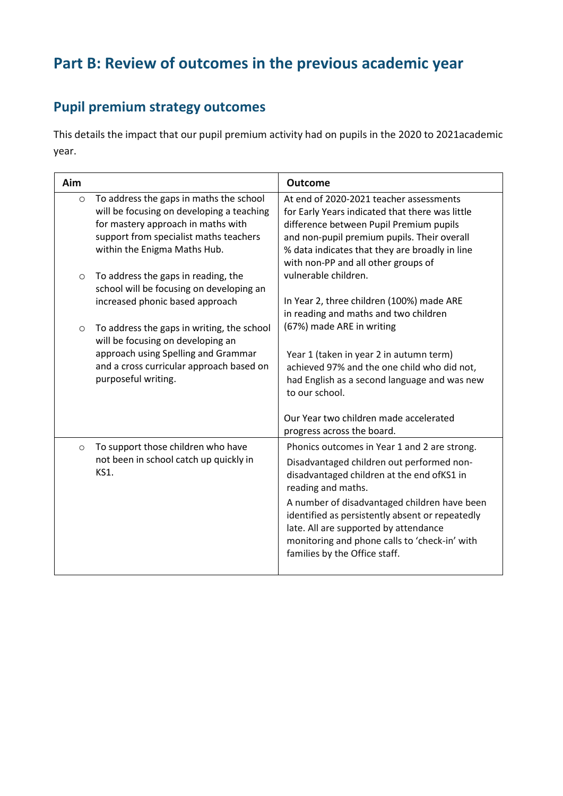# **Part B: Review of outcomes in the previous academic year**

## **Pupil premium strategy outcomes**

This details the impact that our pupil premium activity had on pupils in the 2020 to 2021academic year.

| Aim     |                                                                                                                                                                                                      | <b>Outcome</b>                                                                                                                                                                                                                                                                                                                                                                              |
|---------|------------------------------------------------------------------------------------------------------------------------------------------------------------------------------------------------------|---------------------------------------------------------------------------------------------------------------------------------------------------------------------------------------------------------------------------------------------------------------------------------------------------------------------------------------------------------------------------------------------|
| $\circ$ | To address the gaps in maths the school<br>will be focusing on developing a teaching<br>for mastery approach in maths with<br>support from specialist maths teachers<br>within the Enigma Maths Hub. | At end of 2020-2021 teacher assessments<br>for Early Years indicated that there was little<br>difference between Pupil Premium pupils<br>and non-pupil premium pupils. Their overall<br>% data indicates that they are broadly in line<br>with non-PP and all other groups of                                                                                                               |
| $\circ$ | To address the gaps in reading, the<br>school will be focusing on developing an<br>increased phonic based approach                                                                                   | vulnerable children.<br>In Year 2, three children (100%) made ARE                                                                                                                                                                                                                                                                                                                           |
| O       | To address the gaps in writing, the school<br>will be focusing on developing an<br>approach using Spelling and Grammar<br>and a cross curricular approach based on<br>purposeful writing.            | in reading and maths and two children<br>(67%) made ARE in writing<br>Year 1 (taken in year 2 in autumn term)<br>achieved 97% and the one child who did not,<br>had English as a second language and was new<br>to our school.                                                                                                                                                              |
|         |                                                                                                                                                                                                      | Our Year two children made accelerated<br>progress across the board.                                                                                                                                                                                                                                                                                                                        |
| $\circ$ | To support those children who have<br>not been in school catch up quickly in<br>KS1.                                                                                                                 | Phonics outcomes in Year 1 and 2 are strong.<br>Disadvantaged children out performed non-<br>disadvantaged children at the end ofKS1 in<br>reading and maths.<br>A number of disadvantaged children have been<br>identified as persistently absent or repeatedly<br>late. All are supported by attendance<br>monitoring and phone calls to 'check-in' with<br>families by the Office staff. |